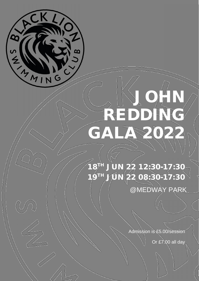

# **JOHN REDDING GALA 2022**

**18 TH JUN 22 12:30-17:30 19TH JUN 22 08:30-17:30**

@MEDWAY PARK

Admission is £5.00/session

Or £7.00 all day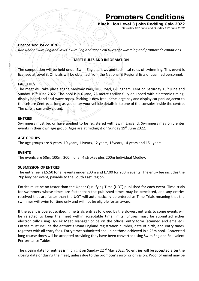**Black Lion Level 3 John Redding Gala 2022** Saturday 18<sup>th</sup> June and Sunday 19<sup>th</sup> June 2022

#### **Licence No: 3SE221019**

*Run under Swim England laws, Swim England technical rules of swimming and promoter's conditions*

#### **MEET RULES AND INFORMATION**

The competition will be held under Swim England laws and technical rules of swimming. This event is licensed at Level 3. Officials will be obtained from the National & Regional lists of qualified personnel.

#### **FACILITIES**

The meet will take place at the Medway Park, Mill Road, Gillingham, Kent on Saturday 18th June and Sunday 19<sup>th</sup> June 2022. The pool is a 6 lane, 25 metre facility fully equipped with electronic timing, display board and anti-wave ropes. Parking is now free in the large pay and display car park adjacent to the Leisure Centre, as long as you enter your vehicle details in to one of the consoles inside the centre. The café is currently closed.

#### **ENTRIES**

Swimmers must be, or have applied to be registered with Swim England. Swimmers may only enter events in their own age group. Ages are at midnight on Sunday 19<sup>th</sup> June 2022.

#### **AGE GROUPS**

The age groups are 9 years, 10 years, 11years, 12 years, 13years, 14 years and 15+ years.

#### **EVENTS**

The events are 50m, 100m, 200m of all 4 strokes plus 200m Individual Medley.

#### **SUBMISSION OF ENTRIES**

The entry fee is £5.50 for all events under 200m and £7.00 for 200m events. The entry fee includes the 20p levy per event, payable to the South East Region.

Entries must be no faster than the Upper Qualifying Time (UQT) published for each event. Time trials for swimmers whose times are faster than the published times may be permitted, and any entries received that are faster than the UQT will automatically be entered as Time Trials meaning that the swimmer will swim for time only and will not be eligible for an award.

If the event is oversubscribed, time trials entries followed by the slowest entrants to some events will be rejected to keep the meet within acceptable time limits. Entries must be submitted either electronically using Hy-Tek Meet Manager or be on the official entry form (scanned and emailed). Entries must include the entrant's Swim England registration number, date of birth, and entry times, together with all entry fees. Entry times submitted should be those achieved in a 25m pool. Converted long course times will be accepted providing they have been converted using Swim England Equivalent Performance Tables.

The closing date for entries is midnight on Sunday 22<sup>nd</sup> May 2022. No entries will be accepted after the closing date or during the meet, unless due to the promoter's error or omission. Proof of email may be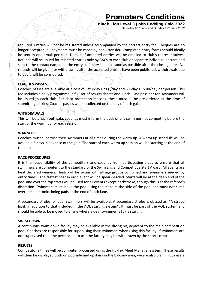**Black Lion Level 3 John Redding Gala 2022** Saturday 18<sup>th</sup> June and Sunday 19<sup>th</sup> June 2022

required. Entries will not be registered unless accompanied by the correct entry fee. Cheques are no longer accepted; all payments must be made by bank transfer. Completed entry forms should ideally be sent in one email per club. Details of accepted entries will be emailed to club's representatives. Refunds will be issued for rejected entries only by BACs to each club or separate individual entrant and sent to the contact named on the entry summary sheet as soon as possible after the closing date. No refunds will be given for withdrawals after the accepted entries have been published, withdrawals due to Covid will be considered.

#### **COACHES PASSES**

Coaches passes are available at a cost of Saturday £7:00/day and Sunday £15.00/day per person. This fee includes a daily programme, a full set of results sheets and lunch. One pass per ten swimmers will be issued to each club. For child protection reasons, these must all be pre-ordered at the time of submitting entries. Coach's passes will be collected on the day of each gala.

#### **WITHDRAWALS**

This will be a 'sign out' gala, coaches must inform the desk of any swimmer not competing before the start of the warm up for each session.

#### **WARM UP**

Coaches must supervise their swimmers at all times during the warm up. A warm up schedule will be available 5 days in advance of the gala. The start of each warm up session will be starting at the end of the pool.

#### **RACE PROCEDURES**

It is the responsibility of the competitors and coaches from participating clubs to ensure that all swimmers are competent to the standard of the Swim England Competitive Start Award. All events are heat declared winners. Heats will be swum with all age groups combined and swimmers seeded by entry times. The fastest heat in each event will be spear-headed. Starts will be at the deep end of the pool and over the top starts will be used for all events except backstroke, though this is at the referee's discretion. Swimmers must leave the pool using the steps at the side of the pool and must not climb over the electronic timing pads at the end of each lane.

A secondary strobe for deaf swimmers will be available. A secondary strobe is classed as, "A strobe light, in addition to that included in the AOE starting system". It must be part of the AOE system and should be able to be moved to a lane where a deaf swimmer (S15) is starting.

#### **SWIM DOWN**

A continuous swim down facility may be available in the diving pit, adjacent to the main competition pool. Coaches are responsible for supervising their swimmers when using this facility. If swimmers are not supervised then the permission to use the facility may be withdrawn by the sports centre.

#### **RESULTS**

Competitor's times will be computer processed using the Hy-Tek Meet Manager system. These results will then be displayed both on poolside and upstairs in the balcony area, we are also planning to use a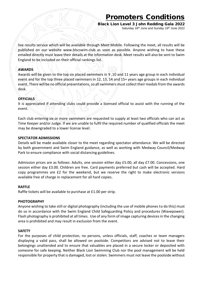**Black Lion Level 3 John Redding Gala 2022** Saturday 18<sup>th</sup> June and Sunday 19<sup>th</sup> June 2022

live results service which will be available through Meet Mobile. Following the meet, all results will be published on our website www.blscswim.club as soon as possible. Anyone wishing to have these emailed directly must leave their details at the information desk. Meet results will also be sent to Swim England to be included on their official rankings list.

#### **AWARDS**

Awards will be given to the top six placed swimmers in 9 ,10 and 11 years age group in each individual event and for the top three placed swimmers in 12, 13, 14 and 15+ years age groups in each individual event. There will be no official presentations, so all swimmers must collect their medals from the awards desk.

#### **OFFICIALS**

It is appreciated if attending clubs could provide a licensed official to assist with the running of the event.

Each club entering six or more swimmers are requested to supply at least two officials who can act as Time Keeper and/or Judge. If we are unable to fulfil the required number of qualified officials the meet may be downgraded to a lower license level.

#### **SPECTATOR ADMISSIONS**

Details will be made available closer to the meet regarding spectator attendance. We will be directed by both government and Swim England guidance, as well as working with Medway Council/Medway Park to ensure compliance with social distancing guidelines.

Admission prices are as follows: Adults, one session either day £5.00, all day £7.00. Concessions, one session either day £3.00. Children are free. Card payments preferred but cash will be accepted. Hard copy programmes are £2 for the weekend, but we reserve the right to make electronic versions available free of charge in replacement for all hard copies.

#### **RAFFLE**

Raffle tickets will be available to purchase at £1.00 per strip.

#### **PHOTOGRAPHY**

Anyone wishing to take still or digital photography (including the use of mobile phones to do this) must do so in accordance with the Swim England Child Safeguarding Policy and procedures (Wavepower). Flash photography is prohibited at all times. Use of any form of image capturing devices in the changing area is prohibited and may result in exclusion from the event.

#### **SAFETY**

For the purposes of child protection, no persons, unless officials, staff, coaches or team managers displaying a valid pass, shall be allowed on poolside. Competitors are advised not to leave their belongings unattended and to ensure that valuables are placed in a secure locker or deposited with someone for safe keeping. Neither Black Lion Swimming Club nor the pool management will be held responsible for property that is damaged, lost or stolen. Swimmers must not leave the poolside without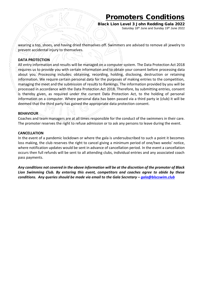**Black Lion Level 3 John Redding Gala 2022** Saturday 18<sup>th</sup> June and Sunday 19<sup>th</sup> June 2022

wearing a top, shoes, and having dried themselves off. Swimmers are advised to remove all jewelry to prevent accidental injury to themselves.

#### **DATA PROTECTION**

All entry information and results will be managed on a computer system. The Data Protection Act 2018 requires us to provide you with certain information and to obtain your consent before processing data about you. Processing includes: obtaining, recording, holding, disclosing, destruction or retaining information. We require certain personal data for the purposes of making entries to the competition, managing the meet and the submission of results to Rankings. The information provided by you will be processed in accordance with the Data Protection Act 2018. Therefore, by submitting entries, consent is thereby given, as required under the current Data Protection Act, to the holding of personal information on a computer. Where personal data has been passed via a third party ie (club) it will be deemed that the third party has gained the appropriate data protection consent.

#### **BEHAVIOUR**

Coaches and team managers are at all times responsible for the conduct of the swimmers in their care. The promoter reserves the right to refuse admission or to ask any persons to leave during the event.

#### **CANCELLATION**

In the event of a pandemic lockdown or where the gala is undersubscribed to such a point it becomes loss making, the club reserves the right to cancel giving a minimum period of one/two weeks' notice, where notification updates would be sent in advance of cancellation period. In the event a cancellation occurs then full refunds will be sent to all attending clubs, individual entries and any associated coach pass payments.

*Any conditions not covered in the above information will be at the discretion of the promoter of Black Lion Swimming Club. By entering this event, competitors and coaches agree to abide by these conditions. Any queries should be made via email to the Gala Secretary – gala@blscswim.club*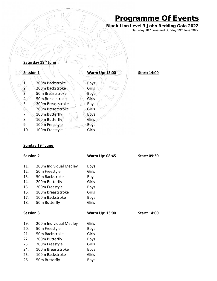## **Programme Of Events**

**Black Lion Level 3 John Redding Gala 2022** Saturday 18<sup>th</sup> June and Sunday 19<sup>th</sup> June 2022

|             | Saturday 18th June |                       |                     |
|-------------|--------------------|-----------------------|---------------------|
| Session 1   |                    | <b>Warm Up: 13:00</b> | <b>Start: 14:00</b> |
|             | 200m Backstroke    | <b>Boys</b>           |                     |
|             | 200m Backstroke    | Girls                 |                     |
| $rac{2}{3}$ | 50m Breaststroke   | Boys                  |                     |
| 4.          | 50m Breaststroke   | Girls                 |                     |
| 5.          | 200m Breaststroke  | <b>Boys</b>           |                     |
| 6.          | 200m Breaststroke  | Girls                 |                     |
| 7.          | 100m Butterfly     | <b>Boys</b>           |                     |
| 8.          | 100m Butterfly     | Girls                 |                     |
| 9.          | 100m Freestyle     | <b>Boys</b>           |                     |
| 10.         | 100m Freestyle     | Girls                 |                     |

#### **Sunday 19th June**

| <b>Session 2</b> |                        | <b>Warm Up: 08:45</b> | <b>Start: 09:30</b> |
|------------------|------------------------|-----------------------|---------------------|
| 11.              | 200m Individual Medley | <b>Boys</b>           |                     |
| 12.              | 50m Freestyle          | Girls                 |                     |
| 13.              | 50m Backstroke         | <b>Boys</b>           |                     |
| 14.              | 200m Butterfly         | Girls                 |                     |
| 15.              | 200m Freestyle         | <b>Boys</b>           |                     |
| 16.              | 100m Breaststroke      | Girls                 |                     |
| 17.              | 100m Backstroke        | <b>Boys</b>           |                     |
| 18.              | 50m Butterfly          | Girls                 |                     |
|                  |                        |                       |                     |
| <b>Session 3</b> |                        | <b>Warm Up: 13:00</b> | Start: 14:00        |
| 19.              | 200m Individual Medley | Girls                 |                     |
| 20.              | 50m Freestyle          | <b>Boys</b>           |                     |
| 21.              | 50m Backstroke         | Girls                 |                     |
| 22.              | 200m Butterfly         | <b>Boys</b>           |                     |
| 23.              | 200m Freestyle         | Girls                 |                     |
| 24.              | 100m Breaststroke      | <b>Boys</b>           |                     |
| 25.              | 100m Backstroke        | Girls                 |                     |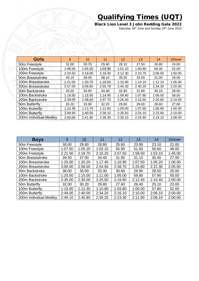## **Qualifying Times (UQT)**

**Black Lion Level 3 John Redding Gala 2022** Saturday 18<sup>th</sup> June and Sunday 19<sup>th</sup> June 2022

| <b>Girls</b>           | 9       | 10 <sup>°</sup> | 11      | 12 <sup>2</sup> | 13      | 14      | 15/over |
|------------------------|---------|-----------------|---------|-----------------|---------|---------|---------|
| 50m Freestyle          | 32.00   | 30.70           | 29.40   | 28.10           | 27.50   | 26.80   | 24.00   |
| 100m Freestyle         | 1:06.00 | 1:05.50         | 1:03.90 | 1:01.10         | 1:00.80 | 59.30   | 52.00   |
| 200m Freestyle         | 2:20.50 | $-2:19.00$      | 2:18.40 | 2:12.30         | 2:10.70 | 2:06.50 | 1:50.00 |
| 50m Breaststroke       | 40.10   | 39.00           | 38.10   | 35.00           | 33.00   | 31.00   | 29.00   |
| 100m Breaststroke      | 1:21.00 | 1:20.70         | 1:19.60 | 1:15.90         | 1:14.10 | 1:12.10 | 1:05.00 |
| 200m Breaststroke      | 2:57.00 | 2:56.60         | 2:55.70 | 2:45.30         | 2:40.20 | 2:34.30 | 2:20.00 |
| 50m Backstroke         | 35.20   | 34.60           | 34.40   | 32.90           | 31.80   | 30.10   | 28.00   |
| 100m Backstroke        | 1:16.50 | 1:15.50         | 1:14.90 | 1:09.80         | 1:07.80 | 1:06.00 | 58.00   |
| 200m Backstroke        | 2:39.00 | 2:38.60         | 2:37.70 | 2:26.40         | 2:22.60 | 2:20.60 | 2:10.00 |
| 50m Butterfly          | 35.20   | 33.90           | 32.20   | 29.80           | 29.00   | 28.60   | 27.00   |
| 100m Butterfly         | 1:16.30 | 1:13.70         | 1:12.60 | 1:09.00         | 1:07.60 | 1:06.90 | 1:00.00 |
| 200m Butterfly         | 2:49.90 | 2:40.00         | 2:38.10 | 2:26.50         | 2:24.10 | 2:23.90 | 2:10.00 |
| 200m Individual Medley | 2:50.00 | 2:41.80         | 2:38.30 | 2:30.10         | 2:25.90 | 2:19.10 | 2:08.00 |

| <b>Boys</b>               | 9       | 10      | 11      | 12      | 13      | 14      | 15/over |
|---------------------------|---------|---------|---------|---------|---------|---------|---------|
| 50 <sub>m</sub> Freestyle | 30.00   | 29.60   | 28.80   | 25.60   | 23.90   | 23.10   | 21.00   |
| 100m Freestyle            | 1:07.50 | 1:05.20 | 1:02.10 | 55.90   | 51.50   | 50.60   | 49.00   |
| 200m Freestyle            | 2:21.00 | 2:18.70 | 2:16.20 | 2:07.50 | 1:58.50 | 1:53.10 | 1:45.00 |
| 50m Breaststroke          | 39.50   | 37.00   | 34.40   | 31.90   | 31.10   | 30.40   | 27.00   |
| 100m Breaststroke         | 1:25.00 | 1:20.20 | 1:17.40 | 1:10.90 | 1:07.50 | 1:05.20 | 1:00.00 |
| 200m Breaststroke         | 3:00.00 | 2:58.00 | 2:54.50 | 2:38.70 | 2:25.80 | 2:22.30 | 2:05.00 |
| 50m Backstroke            | 38.00   | 35:00   | 33.30   | 30.60   | 29.90   | 28.50   | 25.00   |
| 100m Backstroke           | 1:20.00 | 1:15.00 | 1:11.00 | 1:05.00 | 59.80   | 57.90   | 55.00   |
| 200m Backstroke           | 2:35.00 | 2:30.00 | 2:25.00 | 2:19.90 | 2:12.40 | 2:10.40 | 2:00.00 |
| 50m Butterfly             | 32.00   | 30.20   | 29.80   | 27.60   | 26.40   | 25.10   | 23.00   |
| 100m Butterfly            | 1:15.00 | 1:12.30 | 1:10.80 | 1:03.80 | 1:00.00 | 57.80   | 52.00   |
| 200m Butterfly            | 2:49.00 | 2:40.00 | 2:34.20 | 2:16.10 | 2:10.00 | 2:06.10 | 2:00.00 |
| 200m Individual Medley    | 2:49.10 | 2:40.80 | 2:35.20 | 2:23.30 | 2:11.90 | 2:06.10 | 2:00.00 |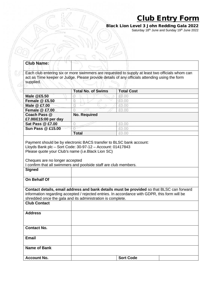## **Club Entry Form**

**Black Lion Level 3 John Redding Gala 2022** Saturday 18<sup>th</sup> June and Sunday 19<sup>th</sup> June 2022

| Each club entering six or more swimmers are requested to supply at least two officials whom can<br>act as Time keeper or Judge. Please provide details of any officials attending using the form<br>supplied.<br><b>Total No. of Swims</b><br><b>Total Cost</b><br>Male @£5.50<br>£0.00<br>0<br><b>Female @ £5.50</b><br>£0.00<br>0<br>Male @ £7.00<br>a<br>£0.00<br>Female @ £7.00<br>£0.00<br>0<br>Coach Pass @<br><b>No. Required</b><br>£7.00/£15:00 per day<br><b>Sat Pass @ £7.00</b><br>£0.00<br>0<br><b>Sun Pass @ £15.00</b><br>Ō<br>£0.00<br><b>Total</b><br>£0.00<br>Payment should be by electronic BACS transfer to BLSC bank account:<br>Lloyds Bank plc - Sort Code: 30-97-12 - Account: 01417843<br>Please quote your Club's name (i.e. Black Lion SC)<br>Cheques are no longer accepted<br>I confirm that all swimmers and poolside staff are club members.<br><b>Signed</b><br><b>On Behalf Of</b><br>Contact details, email address and bank details must be provided so that BLSC can forward<br>information regarding accepted / rejected entries. In accordance with GDPR, this form will be<br>shredded once the gala and its administration is complete.<br><b>Club Contact</b><br><b>Address</b> |  |
|---------------------------------------------------------------------------------------------------------------------------------------------------------------------------------------------------------------------------------------------------------------------------------------------------------------------------------------------------------------------------------------------------------------------------------------------------------------------------------------------------------------------------------------------------------------------------------------------------------------------------------------------------------------------------------------------------------------------------------------------------------------------------------------------------------------------------------------------------------------------------------------------------------------------------------------------------------------------------------------------------------------------------------------------------------------------------------------------------------------------------------------------------------------------------------------------------------------------------|--|
|                                                                                                                                                                                                                                                                                                                                                                                                                                                                                                                                                                                                                                                                                                                                                                                                                                                                                                                                                                                                                                                                                                                                                                                                                           |  |
|                                                                                                                                                                                                                                                                                                                                                                                                                                                                                                                                                                                                                                                                                                                                                                                                                                                                                                                                                                                                                                                                                                                                                                                                                           |  |
|                                                                                                                                                                                                                                                                                                                                                                                                                                                                                                                                                                                                                                                                                                                                                                                                                                                                                                                                                                                                                                                                                                                                                                                                                           |  |
|                                                                                                                                                                                                                                                                                                                                                                                                                                                                                                                                                                                                                                                                                                                                                                                                                                                                                                                                                                                                                                                                                                                                                                                                                           |  |
|                                                                                                                                                                                                                                                                                                                                                                                                                                                                                                                                                                                                                                                                                                                                                                                                                                                                                                                                                                                                                                                                                                                                                                                                                           |  |
|                                                                                                                                                                                                                                                                                                                                                                                                                                                                                                                                                                                                                                                                                                                                                                                                                                                                                                                                                                                                                                                                                                                                                                                                                           |  |
|                                                                                                                                                                                                                                                                                                                                                                                                                                                                                                                                                                                                                                                                                                                                                                                                                                                                                                                                                                                                                                                                                                                                                                                                                           |  |
|                                                                                                                                                                                                                                                                                                                                                                                                                                                                                                                                                                                                                                                                                                                                                                                                                                                                                                                                                                                                                                                                                                                                                                                                                           |  |
|                                                                                                                                                                                                                                                                                                                                                                                                                                                                                                                                                                                                                                                                                                                                                                                                                                                                                                                                                                                                                                                                                                                                                                                                                           |  |
|                                                                                                                                                                                                                                                                                                                                                                                                                                                                                                                                                                                                                                                                                                                                                                                                                                                                                                                                                                                                                                                                                                                                                                                                                           |  |
|                                                                                                                                                                                                                                                                                                                                                                                                                                                                                                                                                                                                                                                                                                                                                                                                                                                                                                                                                                                                                                                                                                                                                                                                                           |  |
|                                                                                                                                                                                                                                                                                                                                                                                                                                                                                                                                                                                                                                                                                                                                                                                                                                                                                                                                                                                                                                                                                                                                                                                                                           |  |
|                                                                                                                                                                                                                                                                                                                                                                                                                                                                                                                                                                                                                                                                                                                                                                                                                                                                                                                                                                                                                                                                                                                                                                                                                           |  |
|                                                                                                                                                                                                                                                                                                                                                                                                                                                                                                                                                                                                                                                                                                                                                                                                                                                                                                                                                                                                                                                                                                                                                                                                                           |  |
|                                                                                                                                                                                                                                                                                                                                                                                                                                                                                                                                                                                                                                                                                                                                                                                                                                                                                                                                                                                                                                                                                                                                                                                                                           |  |
| <b>Contact No.</b>                                                                                                                                                                                                                                                                                                                                                                                                                                                                                                                                                                                                                                                                                                                                                                                                                                                                                                                                                                                                                                                                                                                                                                                                        |  |
| <b>Email</b>                                                                                                                                                                                                                                                                                                                                                                                                                                                                                                                                                                                                                                                                                                                                                                                                                                                                                                                                                                                                                                                                                                                                                                                                              |  |
| <b>Name of Bank</b>                                                                                                                                                                                                                                                                                                                                                                                                                                                                                                                                                                                                                                                                                                                                                                                                                                                                                                                                                                                                                                                                                                                                                                                                       |  |
| <b>Sort Code</b><br><b>Account No.</b>                                                                                                                                                                                                                                                                                                                                                                                                                                                                                                                                                                                                                                                                                                                                                                                                                                                                                                                                                                                                                                                                                                                                                                                    |  |

 $\overline{U}$ 

Á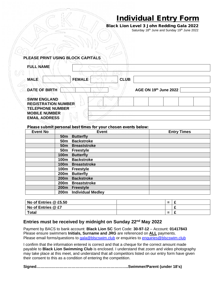## **Individual Entry Form**

**Black Lion Level 3 John Redding Gala 2022** Saturday 18<sup>th</sup> June and Sunday 19<sup>th</sup> June 2022

| PLEASE PRINT USING BLOCK CAPITALS |  |
|-----------------------------------|--|
|                                   |  |

| <b>FULL NAME</b>                                                        |                       |
|-------------------------------------------------------------------------|-----------------------|
| <b>FEMALE</b><br><b>CLUB</b><br><b>MALE</b>                             |                       |
| DATE OF BIRTH                                                           | AGE ON 19th June 2022 |
| <b>SWIM ENGLAND</b><br><b>REGISTRATION NUMBER</b>                       |                       |
| <b>TELEPHONE NUMBER</b><br><b>MOBILE NUMBER</b><br><b>EMAIL ADDRESS</b> |                       |

*Please submit personal best times for your chosen events below:*

| <b>Event No</b> |                  | <b>Event</b>             | <b>Entry Times</b> |
|-----------------|------------------|--------------------------|--------------------|
|                 | 50 <sub>m</sub>  | <b>Butterfly</b>         |                    |
|                 | 50 <sub>m</sub>  | <b>Backstroke</b>        |                    |
|                 | 50 <sub>m</sub>  | <b>Breaststroke</b>      |                    |
|                 | 50m              | <b>Freestyle</b>         |                    |
|                 | 100m             | <b>Butterfly</b>         |                    |
|                 | 100m             | <b>Backstroke</b>        |                    |
|                 | 100m             | <b>Breaststroke</b>      |                    |
|                 | 100m             | <b>Freestyle</b>         |                    |
|                 | 200m             | <b>Butterfly</b>         |                    |
|                 | 200m             | <b>Backstroke</b>        |                    |
|                 | 200m             | <b>Breaststroke</b>      |                    |
|                 | 200 <sub>m</sub> | <b>Freestyle</b>         |                    |
|                 | 200m             | <b>Individual Medley</b> |                    |

| No of Entries @ £5.50 | $\equiv$ |  |
|-----------------------|----------|--|
| No of Entries @ £7    |          |  |
| <b>Total</b>          | $\equiv$ |  |

#### **Entries must be received by midnight on Sunday 22nd May 2022**

Payment by BACS to bank account: **Black Lion SC** Sort Code: **30-97-12** – Account: **01417843** Please ensure swimmers **Initials, Surname and JRG** are referenced on **ALL** payments. Please email forms/questions to gala@blscswim.club or enquiries to enquiries@blscswim.club

I confirm that the information entered is correct and that a cheque for the correct amount made payable to **Black Lion Swimming Club** is enclosed. I understand that zoom and video photography may take place at this meet, and understand that all competitors listed on our entry form have given their consent to this as a condition of entering the competition.

**Signed……………………………………………………………..Swimmer/Parent (under 18's)**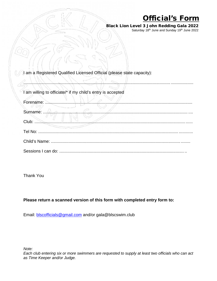## **Official's Form**

............................................................................................................................. ...................

**Black Lion Level 3 John Redding Gala 2022** Saturday 18<sup>th</sup> June and Sunday 19<sup>th</sup> June 2022

| I am a Registered Qualified Licensed Official (please state capacity): |  |  |
|------------------------------------------------------------------------|--|--|
|                                                                        |  |  |

I am willing to officiate/\* if my child's entry is accepted

| Forename: |
|-----------|
| Surname:  |
| Club:     |
| Tel No:   |
|           |
|           |

Thank You

#### **Please return a scanned version of this form with completed entry form to:**

Email: blscofficials@gmail.com and/or gala@blscswim.club

*Note:*

*Each club entering six or more swimmers are requested to supply at least two officials who can act as Time Keeper and/or Judge.*